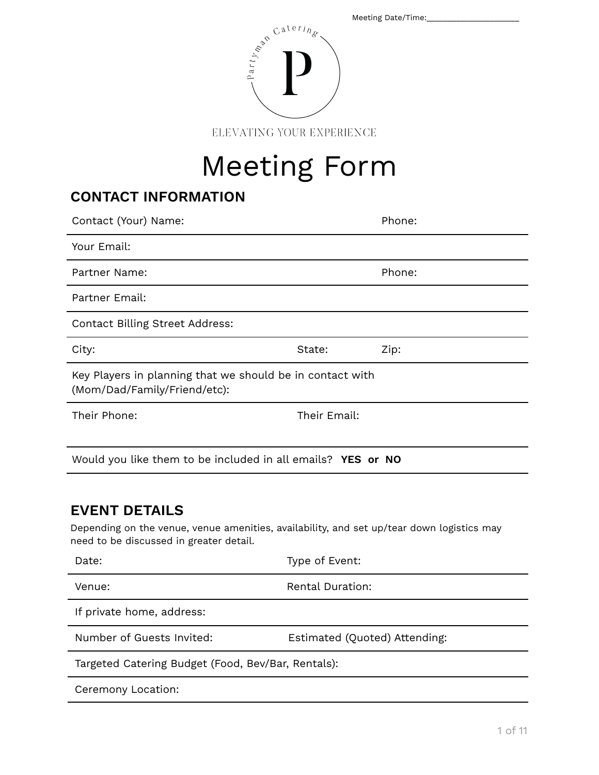|                                                                                                                                                                                                                                                                                                                                                     | Meeting Date/Time: |
|-----------------------------------------------------------------------------------------------------------------------------------------------------------------------------------------------------------------------------------------------------------------------------------------------------------------------------------------------------|--------------------|
| $\begin{picture}(120,110) \put(0,0){\line(1,0){15}} \put(15,0){\line(1,0){15}} \put(15,0){\line(1,0){15}} \put(15,0){\line(1,0){15}} \put(15,0){\line(1,0){15}} \put(15,0){\line(1,0){15}} \put(15,0){\line(1,0){15}} \put(15,0){\line(1,0){15}} \put(15,0){\line(1,0){15}} \put(15,0){\line(1,0){15}} \put(15,0){\line(1,0){15}} \put(15,0){\line$ |                    |
| 17 X 7<br>л<br>1 Y 1 I 2<br>x                                                                                                                                                                                                                                                                                                                       | ATOE               |

ELEVATING YOUR EXPERIENCE

# Meeting Form

## **CONTACT INFORMATION**

| Contact (Your) Name:                                                                      |              | Phone: |  |  |
|-------------------------------------------------------------------------------------------|--------------|--------|--|--|
| Your Email:                                                                               |              |        |  |  |
| Partner Name:                                                                             |              | Phone: |  |  |
| Partner Email:                                                                            |              |        |  |  |
| <b>Contact Billing Street Address:</b>                                                    |              |        |  |  |
| City:                                                                                     | State:       | Zip:   |  |  |
| Key Players in planning that we should be in contact with<br>(Mom/Dad/Family/Friend/etc): |              |        |  |  |
| Their Phone:                                                                              | Their Email: |        |  |  |
|                                                                                           |              |        |  |  |
| Would you like them to be included in all emails? YES or NO                               |              |        |  |  |

## **EVENT DETAILS**

Depending on the venue, venue amenities, availability, and set up/tear down logistics may need to be discussed in greater detail.

| Date:                                              | Type of Event:                |  |
|----------------------------------------------------|-------------------------------|--|
| Venue:                                             | <b>Rental Duration:</b>       |  |
| If private home, address:                          |                               |  |
| Number of Guests Invited:                          | Estimated (Quoted) Attending: |  |
| Targeted Catering Budget (Food, Bev/Bar, Rentals): |                               |  |
| Ceremony Location:                                 |                               |  |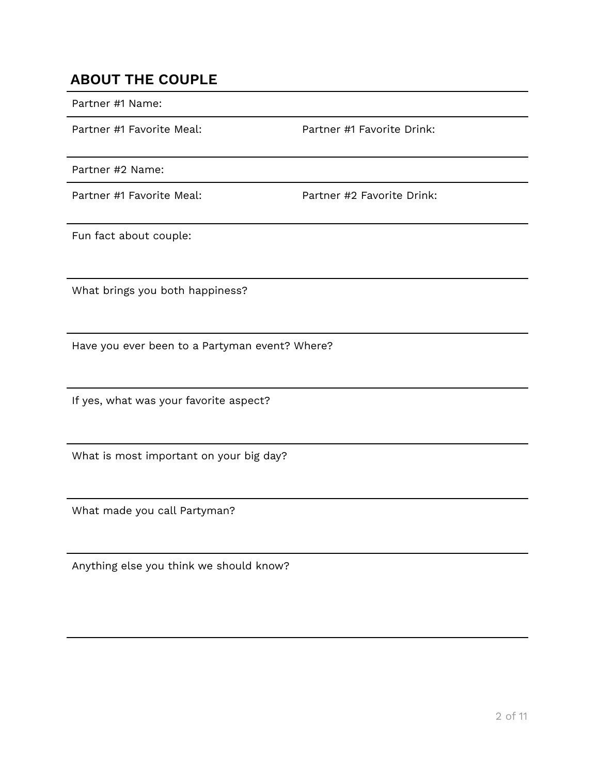## **ABOUT THE COUPLE**

Partner #1 Name:

Partner #1 Favorite Meal: Partner #1 Favorite Drink:

Partner #2 Name:

Partner #1 Favorite Meal: Partner #2 Favorite Drink:

Fun fact about couple:

What brings you both happiness?

Have you ever been to a Partyman event? Where?

If yes, what was your favorite aspect?

What is most important on your big day?

What made you call Partyman?

Anything else you think we should know?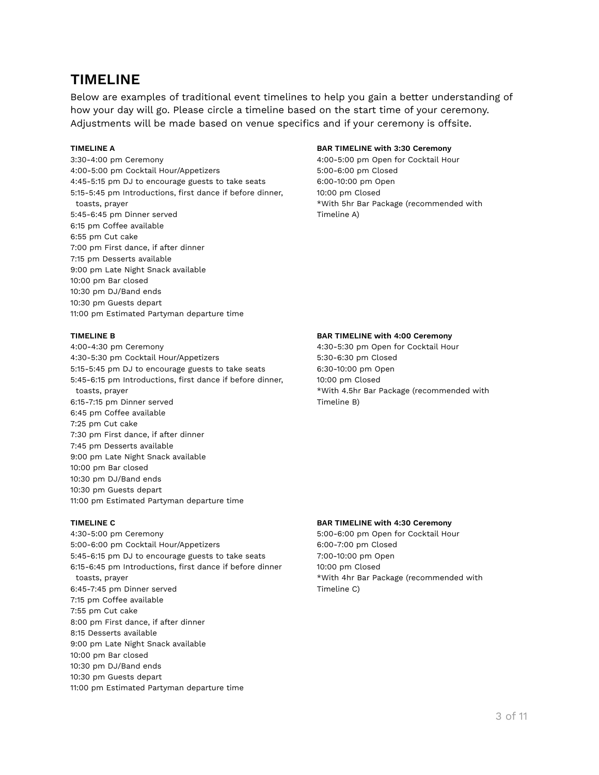## **TIMELINE**

Below are examples of traditional event timelines to help you gain a better understanding of how your day will go. Please circle a timeline based on the start time of your ceremony. Adjustments will be made based on venue specifics and if your ceremony is offsite.

3:30-4:00 pm Ceremony 4:00-5:00 pm Open for Cocktail Hour 4:00-5:00 pm Cocktail Hour/Appetizers 5:00-6:00 pm Closed 4:45-5:15 pm DJ to encourage guests to take seats 6:00-10:00 pm Open 5:15-5:45 pm Introductions, first dance if before dinner, 10:00 pm Closed toasts, prayer **the commended with 5hr Bar Package (recommended with**  $\star$ With 5hr Bar Package (recommended with 5:45-6:45 pm Dinner served Timeline A) 6:15 pm Coffee available 6:55 pm Cut cake 7:00 pm First dance, if after dinner 7:15 pm Desserts available 9:00 pm Late Night Snack available 10:00 pm Bar closed 10:30 pm DJ/Band ends 10:30 pm Guests depart 11:00 pm Estimated Partyman departure time

4:00-4:30 pm Ceremony 4:30-5:30 pm Open for Cocktail Hour 4:30-5:30 pm Cocktail Hour/Appetizers 5:30-6:30 pm Closed 5:15-5:45 pm DJ to encourage guests to take seats 6:30-10:00 pm Open 5:45-6:15 pm Introductions, first dance if before dinner, 10:00 pm Closed toasts, prayer to the state of the state of the state of the state of the state (recommended with the state of the state of the state of the state of the state of the state of the state of the state of the state of the sta 6:15-7:15 pm Dinner served Timeline B) 6:45 pm Coffee available 7:25 pm Cut cake 7:30 pm First dance, if after dinner 7:45 pm Desserts available 9:00 pm Late Night Snack available 10:00 pm Bar closed 10:30 pm DJ/Band ends 10:30 pm Guests depart 11:00 pm Estimated Partyman departure time

4:30-5:00 pm Ceremony 5:00-6:00 pm Open for Cocktail Hour 5:00-6:00 pm Cocktail Hour/Appetizers 6:00-7:00 pm Closed 5:45-6:15 pm DJ to encourage guests to take seats 7:00-10:00 pm Open 6:15-6:45 pm Introductions, first dance if before dinner 10:00 pm Closed toasts, prayer to be the state of the total to the total that the state of the total to the total three total to the total term of the total term of the total term of the total term of the total term of the total term of t 6:45-7:45 pm Dinner served Timeline C) 7:15 pm Coffee available 7:55 pm Cut cake 8:00 pm First dance, if after dinner 8:15 Desserts available 9:00 pm Late Night Snack available 10:00 pm Bar closed 10:30 pm DJ/Band ends 10:30 pm Guests depart 11:00 pm Estimated Partyman departure time

#### **TIMELINE A BAR TIMELINE with 3:30 Ceremony**

#### **TIMELINE B BAR TIMELINE with 4:00 Ceremony**

#### **TIMELINE C BAR TIMELINE with 4:30 Ceremony**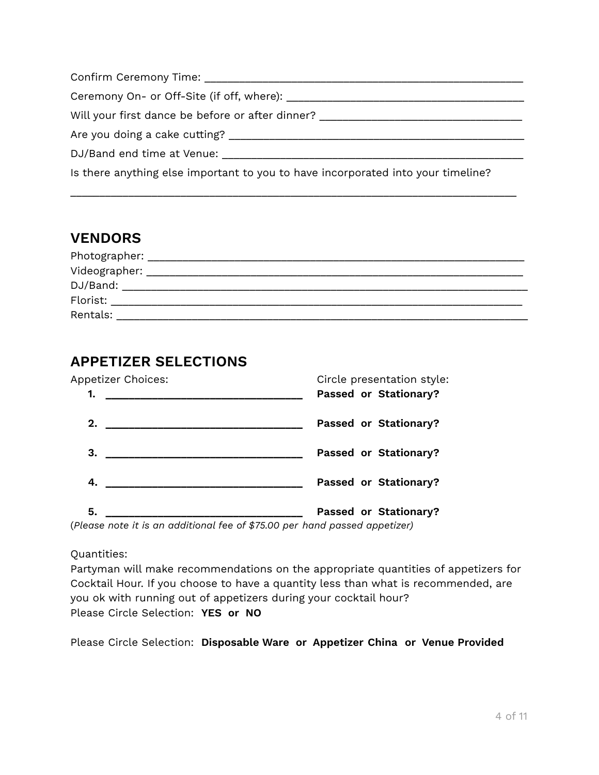| Confirm Ceremony Time: Confirm Ceremony Time:                                    |
|----------------------------------------------------------------------------------|
| Ceremony On- or Off-Site (if off, where): ______                                 |
| Will your first dance be before or after dinner? _______________________________ |
| Are you doing a cake cutting?                                                    |
| DJ/Band end time at Venue:                                                       |
| Is there anything else important to you to have incorporated into your timeline? |

\_\_\_\_\_\_\_\_\_\_\_\_\_\_\_\_\_\_\_\_\_\_\_\_\_\_\_\_\_\_\_\_\_\_\_\_\_\_\_\_\_\_\_\_\_\_\_\_\_\_\_\_\_\_\_\_\_\_\_\_\_\_\_\_\_\_\_\_\_\_\_\_\_\_\_\_\_

## **VENDORS** Photographer: \_\_\_\_\_\_\_\_\_\_\_\_\_\_\_\_\_\_\_\_\_\_\_\_\_\_\_\_\_\_\_\_\_\_\_\_\_\_\_\_\_\_\_\_\_\_\_\_\_\_\_\_\_\_\_\_\_\_\_\_\_\_\_\_\_ Videographer: \_\_\_\_\_\_\_\_\_\_\_\_\_\_\_\_\_\_\_\_\_\_\_\_\_\_\_\_\_\_\_\_\_\_\_\_\_\_\_\_\_\_\_\_\_\_\_\_\_\_\_\_\_\_\_\_\_\_\_\_\_\_\_\_\_ DJ/Band: \_\_\_\_\_\_\_\_\_\_\_\_\_\_\_\_\_\_\_\_\_\_\_\_\_\_\_\_\_\_\_\_\_\_\_\_\_\_\_\_\_\_\_\_\_\_\_\_\_\_\_\_\_\_\_\_\_\_\_\_\_\_\_\_\_\_\_\_\_\_ Florist: \_\_\_\_\_\_\_\_\_\_\_\_\_\_\_\_\_\_\_\_\_\_\_\_\_\_\_\_\_\_\_\_\_\_\_\_\_\_\_\_\_\_\_\_\_\_\_\_\_\_\_\_\_\_\_\_\_\_\_\_\_\_\_\_\_\_\_\_\_\_\_ Rentals: \_\_\_\_\_\_\_\_\_\_\_\_\_\_\_\_\_\_\_\_\_\_\_\_\_\_\_\_\_\_\_\_\_\_\_\_\_\_\_\_\_\_\_\_\_\_\_\_\_\_\_\_\_\_\_\_\_\_\_\_\_\_\_\_\_\_\_\_\_\_\_

## **APPETIZER SELECTIONS**



(*Please note it is an additional fee of \$75.00 per hand passed appetizer)*

Quantities:

Partyman will make recommendations on the appropriate quantities of appetizers for Cocktail Hour. If you choose to have a quantity less than what is recommended, are you ok with running out of appetizers during your cocktail hour? Please Circle Selection: **YES or NO**

Please Circle Selection: **Disposable Ware or Appetizer China or Venue Provided**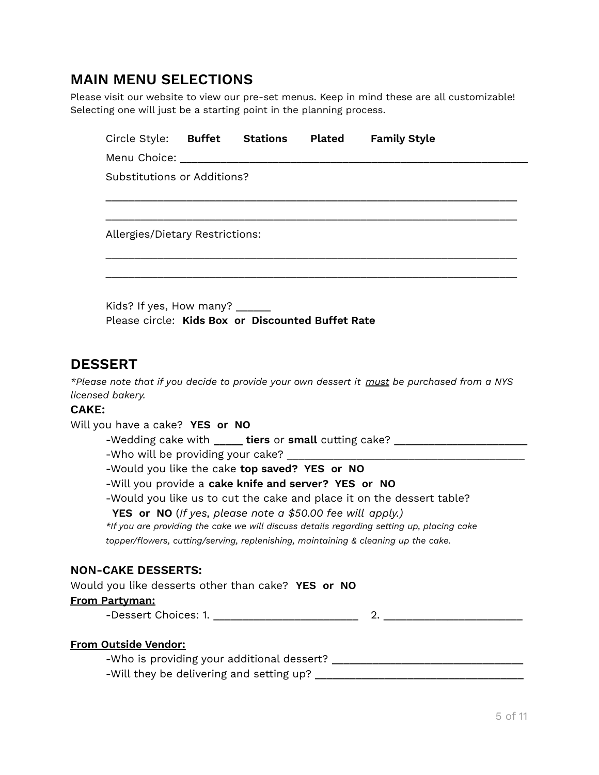## **MAIN MENU SELECTIONS**

Please visit our website to view our pre-set menus. Keep in mind these are all customizable! Selecting one will just be a starting point in the planning process.

|              | Circle Style: <b>Buffet Stations</b>                                               |  | <b>Plated</b> | <b>Family Style</b>                                                                         |
|--------------|------------------------------------------------------------------------------------|--|---------------|---------------------------------------------------------------------------------------------|
|              | Menu Choice: New York Products and American Section 1997                           |  |               |                                                                                             |
|              | Substitutions or Additions?                                                        |  |               |                                                                                             |
|              | Allergies/Dietary Restrictions:                                                    |  |               |                                                                                             |
|              | Kids? If yes, How many? _____<br>Please circle: Kids Box or Discounted Buffet Rate |  |               |                                                                                             |
|              | <b>DESSERT</b>                                                                     |  |               |                                                                                             |
|              |                                                                                    |  |               | *Please note that if you decide to provide your own dessert it must be purchased from a NYS |
|              | licensed bakery.                                                                   |  |               |                                                                                             |
| <b>CAKE:</b> |                                                                                    |  |               |                                                                                             |
|              | Will you have a cake? YES or NO                                                    |  |               | -Wedding cake with _____ tiers or small cutting cake? __________________________            |
|              |                                                                                    |  |               |                                                                                             |
|              | -Would you like the cake top saved? YES or NO                                      |  |               |                                                                                             |
|              | -Will you provide a cake knife and server? YES or NO                               |  |               |                                                                                             |
|              |                                                                                    |  |               | -Would you like us to cut the cake and place it on the dessert table?                       |
|              | YES or NO (If yes, please note a \$50.00 fee will apply.)                          |  |               |                                                                                             |
|              |                                                                                    |  |               | *If you are providing the cake we will discuss details regarding setting up, placing cake   |
|              |                                                                                    |  |               | topper/flowers, cutting/serving, replenishing, maintaining & cleaning up the cake.          |
|              | <b>NON-CAKE DESSERTS:</b>                                                          |  |               |                                                                                             |
|              | Would you like desserts other than cake? YES or NO                                 |  |               |                                                                                             |
|              | <b>From Partyman:</b>                                                              |  |               |                                                                                             |
|              |                                                                                    |  |               |                                                                                             |
|              | <b>From Outside Vendor:</b><br>-Will they be delivering and setting up?            |  |               |                                                                                             |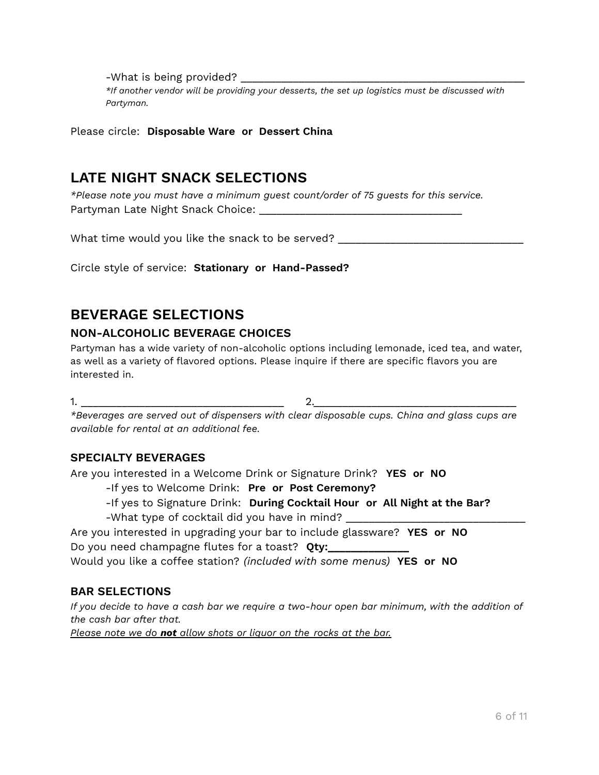-What is being provided? \_\_\_\_\_\_\_\_\_\_\_\_\_\_\_\_\_\_\_\_\_\_\_\_\_\_\_\_\_\_\_\_\_\_\_\_\_\_\_\_\_\_\_\_\_\_\_\_\_

*\*If another vendor will be providing your desserts, the set up logistics must be discussed with Partyman.*

Please circle: **Disposable Ware or Dessert China**

## **LATE NIGHT SNACK SELECTIONS**

*\*Please note you must have a minimum guest count/order of 75 guests for this service.* Partyman Late Night Snack Choice: \_\_\_\_\_\_\_\_\_\_\_\_\_\_\_\_\_\_\_\_\_\_\_\_\_\_\_\_\_\_\_\_\_\_\_

What time would you like the snack to be served?

Circle style of service: **Stationary or Hand-Passed?**

## **BEVERAGE SELECTIONS**

### **NON-ALCOHOLIC BEVERAGE CHOICES**

Partyman has a wide variety of non-alcoholic options including lemonade, iced tea, and water, as well as a variety of flavored options. Please inquire if there are specific flavors you are interested in.

 $1.$   $2.$ 

*\*Beverages are served out of dispensers with clear disposable cups. China and glass cups are available for rental at an additional fee.*

## **SPECIALTY BEVERAGES**

Are you interested in a Welcome Drink or Signature Drink? **YES or NO**

-If yes to Welcome Drink: **Pre or Post Ceremony?**

-If yes to Signature Drink: **During Cocktail Hour or All Night at the Bar?**

-What type of cocktail did you have in mind?

Are you interested in upgrading your bar to include glassware? **YES or NO** Do you need champagne flutes for a toast? **Qty:\_\_\_\_\_\_\_\_\_\_\_\_\_\_**

Would you like a coffee station? *(included with some menus)* **YES or NO**

## **BAR SELECTIONS**

If you decide to have a cash bar we require a two-hour open bar minimum, with the addition of *the cash bar after that.*

*Please note we do not allow shots or liquor on the rocks at the bar.*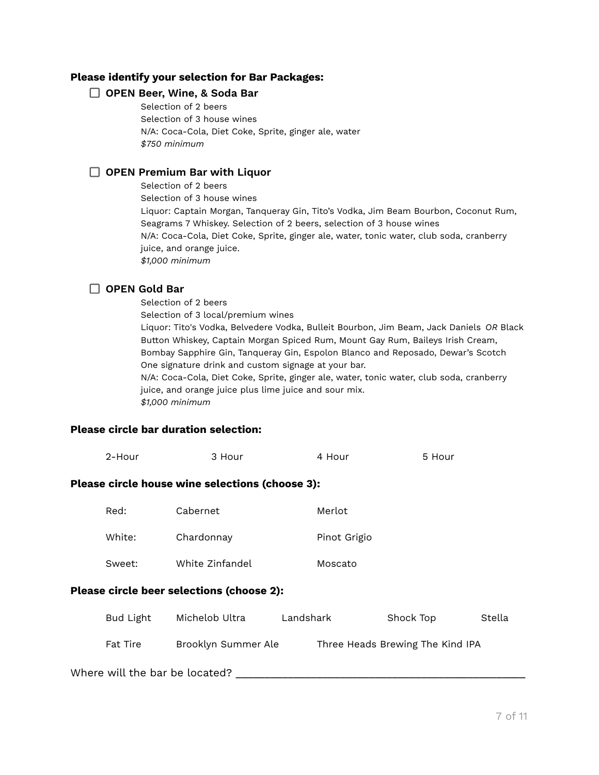#### **Please identify your selection for Bar Packages:**

#### **OPEN Beer, Wine, & Soda Bar**

Selection of 2 beers Selection of 3 house wines N/A: Coca-Cola, Diet Coke, Sprite, ginger ale, water *\$750 minimum*

#### **OPEN Premium Bar with Liquor**

Selection of 2 beers Selection of 3 house wines Liquor: Captain Morgan, Tanqueray Gin, Tito's Vodka, Jim Beam Bourbon, Coconut Rum, Seagrams 7 Whiskey. Selection of 2 beers, selection of 3 house wines N/A: Coca-Cola, Diet Coke, Sprite, ginger ale, water, tonic water, club soda, cranberry juice, and orange juice. *\$1,000 minimum*

#### **OPEN Gold Bar**

Selection of 2 beers Selection of 3 local/premium wines Liquor: Tito's Vodka, Belvedere Vodka, Bulleit Bourbon, Jim Beam, Jack Daniels *OR* Black Button Whiskey, Captain Morgan Spiced Rum, Mount Gay Rum, Baileys Irish Cream, Bombay Sapphire Gin, Tanqueray Gin, Espolon Blanco and Reposado, Dewar's Scotch One signature drink and custom signage at your bar. N/A: Coca-Cola, Diet Coke, Sprite, ginger ale, water, tonic water, club soda, cranberry juice, and orange juice plus lime juice and sour mix. *\$1,000 minimum*

#### **Please circle bar duration selection:**

|                                                        | 2-Hour    | 3 Hour              |           | 4 Hour                           |           | 5 Hour |        |
|--------------------------------------------------------|-----------|---------------------|-----------|----------------------------------|-----------|--------|--------|
| <b>Please circle house wine selections (choose 3):</b> |           |                     |           |                                  |           |        |        |
|                                                        | Red:      | Cabernet            |           | Merlot                           |           |        |        |
|                                                        | White:    | Chardonnay          |           | Pinot Grigio                     |           |        |        |
|                                                        | Sweet:    | White Zinfandel     |           | Moscato                          |           |        |        |
| <b>Please circle beer selections (choose 2):</b>       |           |                     |           |                                  |           |        |        |
|                                                        | Bud Light | Michelob Ultra      | Landshark |                                  | Shock Top |        | Stella |
|                                                        | Fat Tire  | Brooklyn Summer Ale |           | Three Heads Brewing The Kind IPA |           |        |        |
| Where will the bar be located?                         |           |                     |           |                                  |           |        |        |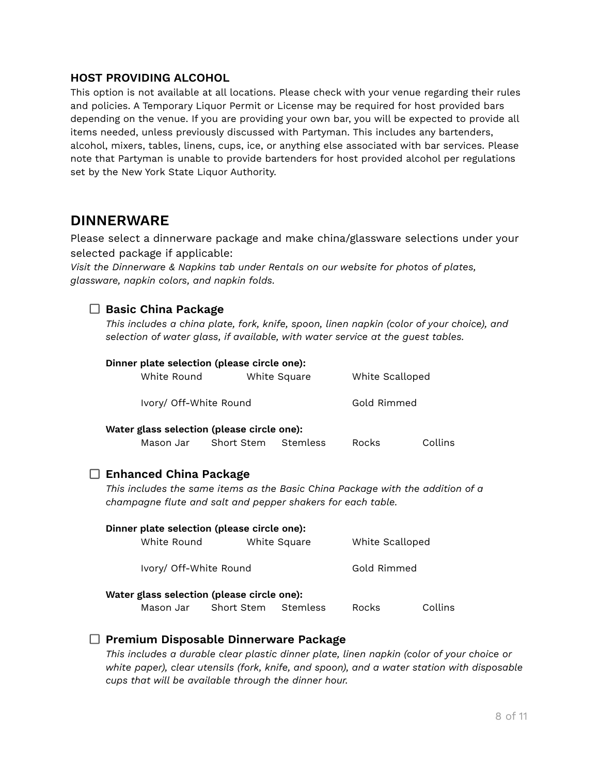### **HOST PROVIDING ALCOHOL**

This option is not available at all locations. Please check with your venue regarding their rules and policies. A Temporary Liquor Permit or License may be required for host provided bars depending on the venue. If you are providing your own bar, you will be expected to provide all items needed, unless previously discussed with Partyman. This includes any bartenders, alcohol, mixers, tables, linens, cups, ice, or anything else associated with bar services. Please note that Partyman is unable to provide bartenders for host provided alcohol per regulations set by the New York State Liquor Authority.

## **DINNERWARE**

Please select a dinnerware package and make china/glassware selections under your selected package if applicable:

*Visit the Dinnerware & Napkins tab under Rentals on our website for photos of plates, glassware, napkin colors, and napkin folds.*

### **Basic China Package**

*This includes a china plate, fork, knife, spoon, linen napkin (color of your choice), and selection of water glass, if available, with water service at the guest tables.*

| Dinner plate selection (please circle one): |                                                                                                                                                                                |                               |              |                 |         |
|---------------------------------------------|--------------------------------------------------------------------------------------------------------------------------------------------------------------------------------|-------------------------------|--------------|-----------------|---------|
|                                             | White Round                                                                                                                                                                    |                               | White Square | White Scalloped |         |
|                                             | Ivory/ Off-White Round                                                                                                                                                         |                               |              | Gold Rimmed     |         |
|                                             | Water glass selection (please circle one):                                                                                                                                     | Mason Jar Short Stem Stemless |              | <b>Rocks</b>    | Collins |
|                                             | <b>Enhanced China Package</b><br>This includes the same items as the Basic China Package with the addition of a<br>champagne flute and salt and pepper shakers for each table. |                               |              |                 |         |
|                                             | Dinner plate selection (please circle one):<br>White Round                                                                                                                     |                               | White Square | White Scalloped |         |
|                                             | Ivory/ Off-White Round                                                                                                                                                         |                               |              | Gold Rimmed     |         |
|                                             | Water glass selection (please circle one):                                                                                                                                     | Mason Jar Short Stem Stemless |              | Rocks           | Collins |

### **Premium Disposable Dinnerware Package**

*This includes a durable clear plastic dinner plate, linen napkin (color of your choice or white paper), clear utensils (fork, knife, and spoon), and a water station with disposable cups that will be available through the dinner hour.*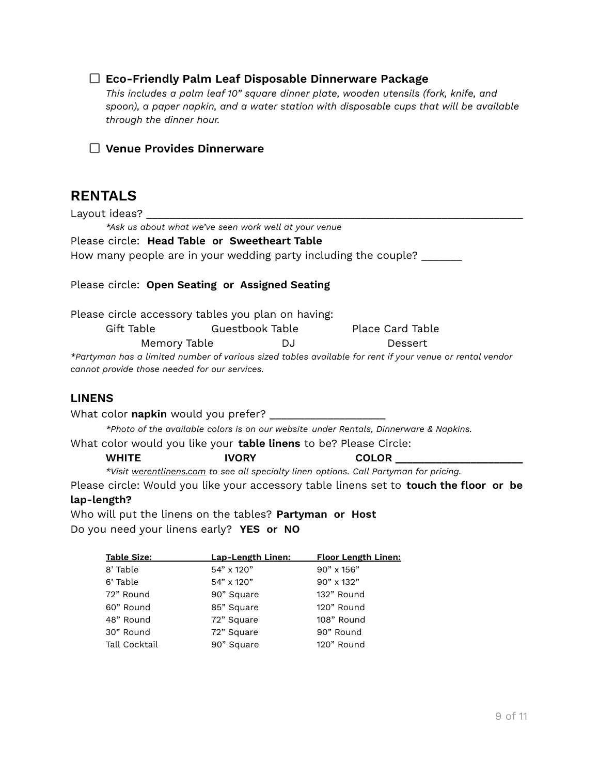#### **Eco-Friendly Palm Leaf Disposable Dinnerware Package**

*This includes a palm leaf 10" square dinner plate, wooden utensils (fork, knife, and spoon), a paper napkin, and a water station with disposable cups that will be available through the dinner hour.*

#### **Venue Provides Dinnerware**

## **RENTALS**

Layout ideas? \_\_\_\_

*\*Ask us about what we've seen work well at your venue* Please circle: **Head Table or Sweetheart Table**

How many people are in your wedding party including the couple? \_\_\_\_\_\_\_

#### Please circle: **Open Seating or Assigned Seating**

Please circle accessory tables you plan on having:

| Gift Table   | Guestbook Table | Place Card Table |  |
|--------------|-----------------|------------------|--|
| Memory Table | DJ              | Dessert          |  |

\*Partyman has a limited number of various sized tables available for rent if your venue or rental vendor *cannot provide those needed for our services.*

#### **LINENS**

What color **napkin** would you prefer? \_\_\_\_\_\_\_\_\_\_\_\_\_\_\_\_\_\_\_\_ *\*Photo of the available colors is on our website under Rentals, Dinnerware & Napkins.*

What color would you like your **table linens** to be? Please Circle:

| <b>WHITE</b> | <b>IVORY</b>                                                                                  | <b>COLOR</b> |
|--------------|-----------------------------------------------------------------------------------------------|--------------|
|              | *Visit <u>werentlinens.com</u> to see all specialty linen options. Call Partyman for pricing. |              |

Please circle: Would you like your accessory table linens set to **touch the floor or be lap-length?**

Who will put the linens on the tables? **Partyman or Host** Do you need your linens early? **YES or NO**

| <b>Table Size:</b> | <b>Lap-Length Linen:</b> | <b>Floor Length Linen:</b> |
|--------------------|--------------------------|----------------------------|
| 8' Table           | 54" x 120"               | 90" x 156"                 |
| 6' Table           | 54" x 120"               | 90" x 132"                 |
| 72" Round          | 90" Square               | 132" Round                 |
| 60" Round          | 85" Square               | 120" Round                 |
| 48" Round          | 72" Square               | 108" Round                 |
| 30" Round          | 72" Square               | 90" Round                  |
| Tall Cocktail      | 90" Square               | 120" Round                 |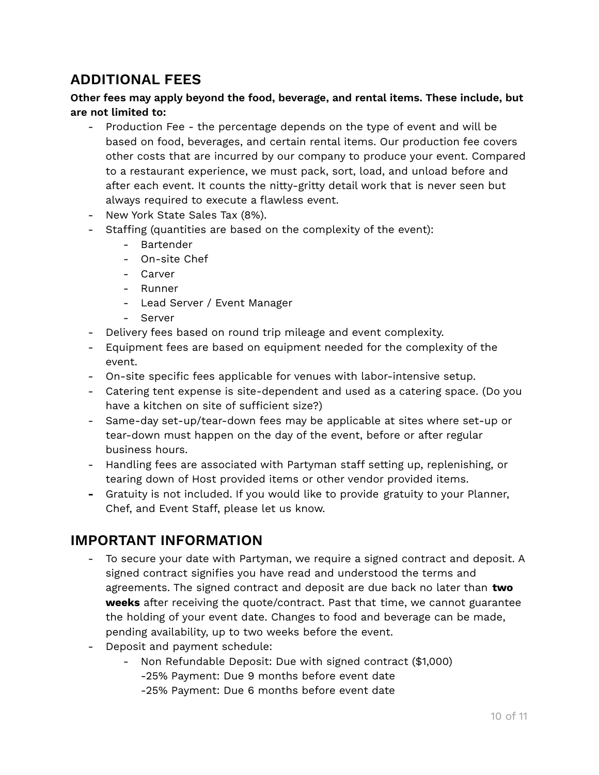## **ADDITIONAL FEES**

### **Other fees may apply beyond the food, beverage, and rental items. These include, but are not limited to:**

- Production Fee the percentage depends on the type of event and will be based on food, beverages, and certain rental items. Our production fee covers other costs that are incurred by our company to produce your event. Compared to a restaurant experience, we must pack, sort, load, and unload before and after each event. It counts the nitty-gritty detail work that is never seen but always required to execute a flawless event.
- New York State Sales Tax (8%).
- Staffing (quantities are based on the complexity of the event):
	- Bartender
	- On-site Chef
	- Carver
	- Runner
	- Lead Server / Event Manager
	- Server
- Delivery fees based on round trip mileage and event complexity.
- Equipment fees are based on equipment needed for the complexity of the event.
- On-site specific fees applicable for venues with labor-intensive setup.
- Catering tent expense is site-dependent and used as a catering space. (Do you have a kitchen on site of sufficient size?)
- Same-day set-up/tear-down fees may be applicable at sites where set-up or tear-down must happen on the day of the event, before or after regular business hours.
- Handling fees are associated with Partyman staff setting up, replenishing, or tearing down of Host provided items or other vendor provided items.
- **-** Gratuity is not included. If you would like to provide gratuity to your Planner, Chef, and Event Staff, please let us know.

## **IMPORTANT INFORMATION**

- To secure your date with Partyman, we require a signed contract and deposit. A signed contract signifies you have read and understood the terms and agreements. The signed contract and deposit are due back no later than **two weeks** after receiving the quote/contract. Past that time, we cannot guarantee the holding of your event date. Changes to food and beverage can be made, pending availability, up to two weeks before the event.
- Deposit and payment schedule:
	- Non Refundable Deposit: Due with signed contract (\$1,000) -25% Payment: Due 9 months before event date
		- -25% Payment: Due 6 months before event date